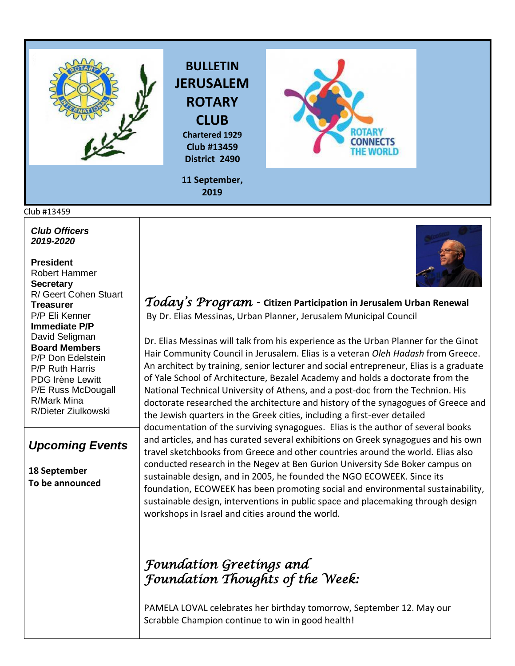

# **BULLETIN JERUSALEM ROTARY CLUB**

**Chartered 1929 Club #13459 District 2490**



**11 September, 2019**

#### Club #13459

*Club Officers 2019-2020*

**President**  Robert Hammer **Secretary**  R/ Geert Cohen Stuart **Treasurer**  P/P Eli Kenner **Immediate P/P** David Seligman **Board Members**  P/P Don Edelstein P/P Ruth Harris PDG Irène Lewitt P/E Russ McDougall R/Mark Mina R/Dieter Ziulkowski

### *Upcoming Events*

**18 September To be announced** *Today's Program -* **Citizen Participation in Jerusalem Urban Renewal** By Dr. Elias Messinas, Urban Planner, Jerusalem Municipal Council

Dr. Elias Messinas will talk from his experience as the Urban Planner for the Ginot Hair Community Council in Jerusalem. Elias is a veteran *Oleh Hadash* from Greece. An architect by training, senior lecturer and social entrepreneur, Elias is a graduate of Yale School of Architecture, Bezalel Academy and holds a doctorate from the National Technical University of Athens, and a post-doc from the Technion. His doctorate researched the architecture and history of the synagogues of Greece and the Jewish quarters in the Greek cities, including a first-ever detailed documentation of the surviving synagogues. Elias is the author of several books and articles, and has curated several exhibitions on Greek synagogues and his own travel sketchbooks from Greece and other countries around the world. Elias also conducted research in the Negev at Ben Gurion University Sde Boker campus on sustainable design, and in 2005, he founded the NGO ECOWEEK. Since its foundation, ECOWEEK has been promoting social and environmental sustainability, sustainable design, interventions in public space and placemaking through design workshops in Israel and cities around the world.

## *Foundation Greetings and Foundation Thoughts of the Week:*

PAMELA LOVAL celebrates her birthday tomorrow, September 12. May our Scrabble Champion continue to win in good health!

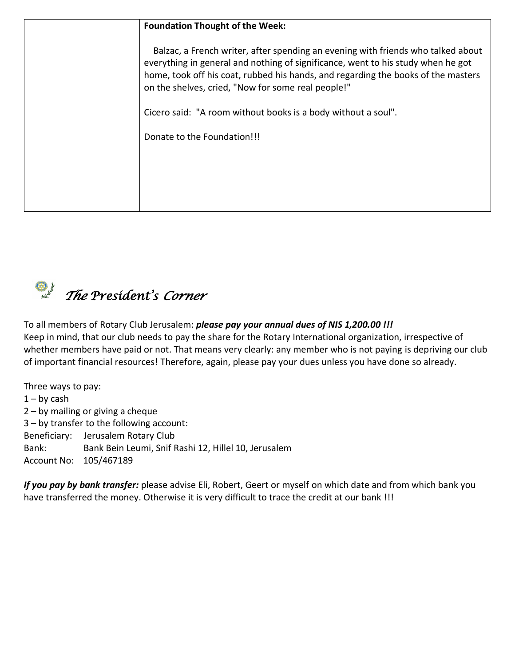| <b>Foundation Thought of the Week:</b>                                                                                                                                                                                                                                                                          |
|-----------------------------------------------------------------------------------------------------------------------------------------------------------------------------------------------------------------------------------------------------------------------------------------------------------------|
| Balzac, a French writer, after spending an evening with friends who talked about<br>everything in general and nothing of significance, went to his study when he got<br>home, took off his coat, rubbed his hands, and regarding the books of the masters<br>on the shelves, cried, "Now for some real people!" |
| Cicero said: "A room without books is a body without a soul".                                                                                                                                                                                                                                                   |
| Donate to the Foundation!!!                                                                                                                                                                                                                                                                                     |
|                                                                                                                                                                                                                                                                                                                 |
|                                                                                                                                                                                                                                                                                                                 |
|                                                                                                                                                                                                                                                                                                                 |

 *The President's Corner* 

To all members of Rotary Club Jerusalem: *please pay your annual dues of NIS 1,200.00 !!!* Keep in mind, that our club needs to pay the share for the Rotary International organization, irrespective of whether members have paid or not. That means very clearly: any member who is not paying is depriving our club of important financial resources! Therefore, again, please pay your dues unless you have done so already.

Three ways to pay:  $1 - by cash$ 2 – by mailing or giving a cheque 3 – by transfer to the following account: Beneficiary: Jerusalem Rotary Club Bank: Bank Bein Leumi, Snif Rashi 12, Hillel 10, Jerusalem Account No: 105/467189

*If you pay by bank transfer:* please advise Eli, Robert, Geert or myself on which date and from which bank you have transferred the money. Otherwise it is very difficult to trace the credit at our bank !!!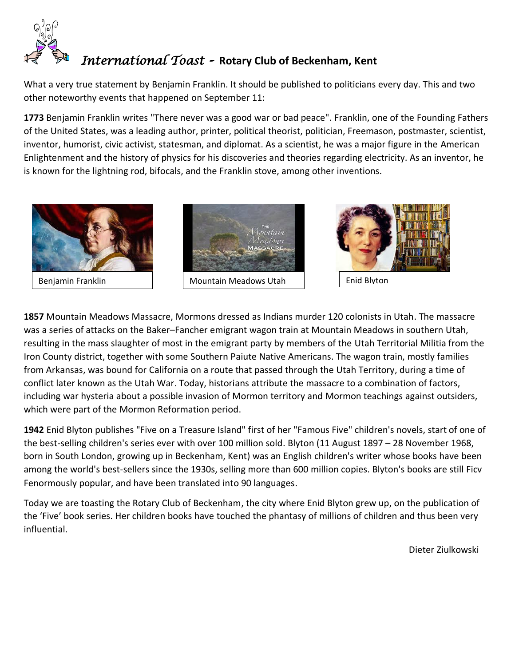

### *International Toast -* **Rotary Club of Beckenham, Kent**

What a very true statement by Benjamin Franklin. It should be published to politicians every day. This and two other noteworthy events that happened on September 11:

**[1773](https://www.onthisday.com/events/date/1773)** [Benjamin Franklin](https://www.onthisday.com/people/benjamin-franklin) writes "There never was a good war or bad peace". Franklin, one of the [Founding Fathers](https://en.wikipedia.org/wiki/Founding_Fathers_of_the_United_States) of the United States, was a leading author, printer, [political theorist,](https://en.wikipedia.org/wiki/List_of_political_philosophers) politician, [Freemason,](https://en.wikipedia.org/wiki/Freemason) postmaster, scientist, inventor, humorist, civic activist, statesman, and diplomat. As a scientist, he was a major figure in the [American](https://en.wikipedia.org/wiki/American_Enlightenment)  [Enlightenment](https://en.wikipedia.org/wiki/American_Enlightenment) and the [history of physics](https://en.wikipedia.org/wiki/History_of_physics) for his discoveries and theories regarding electricity. As an inventor, he is known for the [lightning rod,](https://en.wikipedia.org/wiki/Lightning_rod) [bifocals,](https://en.wikipedia.org/wiki/Bifocals) and the [Franklin stove,](https://en.wikipedia.org/wiki/Franklin_stove) among other inventions.



**[1857](https://www.onthisday.com/events/date/1857)** Mountain Meadows Massacre, Mormons dressed as Indians murder 120 colonists in Utah. The massacre was a series of attacks on the Baker–[Fancher](https://en.wikipedia.org/wiki/Baker%E2%80%93Fancher_party) emigrant [wagon train](https://en.wikipedia.org/wiki/Wagon_train) at [Mountain Meadows](https://en.wikipedia.org/wiki/Mountain_Meadows,_Utah) in southern [Utah,](https://en.wikipedia.org/wiki/Utah) resulting in the mass slaughter of most in the emigrant party by members of the [Utah Territorial Militia](https://en.wikipedia.org/wiki/Nauvoo_Legion#In_Utah) from the [Iron County](https://en.wikipedia.org/wiki/Iron_County,_Utah) district, together with some [Southern Paiute](https://en.wikipedia.org/wiki/Southern_Paiute) [Native Americans.](https://en.wikipedia.org/wiki/Native_Americans_in_the_United_States) The wagon train, mostly families from [Arkansas,](https://en.wikipedia.org/wiki/Arkansas) was bound for [California](https://en.wikipedia.org/wiki/California) on a route that passed through the [Utah Territory,](https://en.wikipedia.org/wiki/Utah_Territory) during a time of conflict later known as the [Utah War.](https://en.wikipedia.org/wiki/Utah_War) Today, historians attribute the massacre to a combination of factors, including [war hysteria](https://en.wikipedia.org/wiki/War_hysteria_preceding_the_Mountain_Meadows_massacre) about a possible invasion of Mormon territory and [Mormon teachings](https://en.wikipedia.org/wiki/Mountain_Meadows_massacre_and_Mormon_theology) against outsiders, which were part of the [Mormon Reformation](https://en.wikipedia.org/wiki/Mormon_Reformation) period.

**[1942](https://www.onthisday.com/events/date/1942)** [Enid Blyton](https://www.onthisday.com/people/enid-blyton) publishes "Five on a Treasure Island" first of her "Famous Five" children's novels, start of one of the best-selling children's series ever with over 100 million sold. Blyton (11 August 1897 – 28 November 1968, born in South London, growing up in Beckenham, Kent) was an English [children's writer](https://en.wikipedia.org/wiki/List_of_children%27s_literature_authors) whose books have been among the world's best-sellers since the 1930s, selling more than 600 million copies. Blyton's books are still Ficv Fenormously popular, and have been translated into 90 languages.

Today we are toasting the Rotary Club of Beckenham, the city where Enid Blyton grew up, on the publication of the 'Five' book series. Her children books have touched the phantasy of millions of children and thus been very influential.

Dieter Ziulkowski